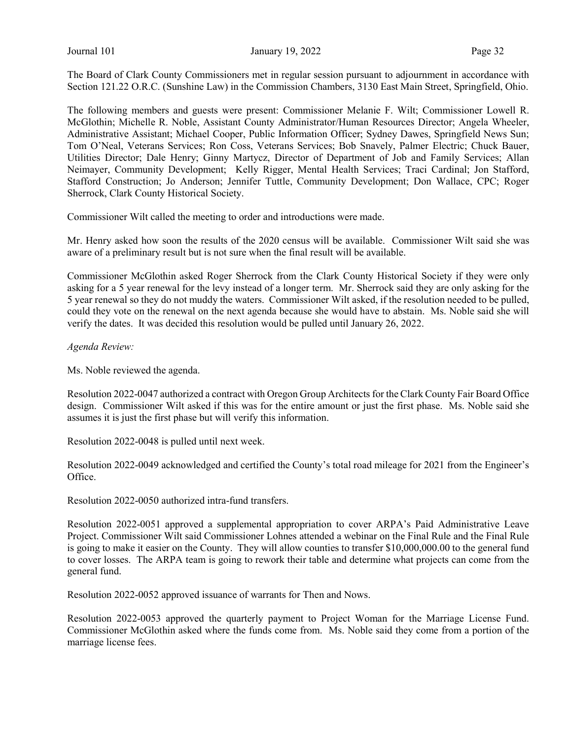Journal 101 **January 19, 2022** Page 32

The Board of Clark County Commissioners met in regular session pursuant to adjournment in accordance with Section 121.22 O.R.C. (Sunshine Law) in the Commission Chambers, 3130 East Main Street, Springfield, Ohio.

The following members and guests were present: Commissioner Melanie F. Wilt; Commissioner Lowell R. McGlothin; Michelle R. Noble, Assistant County Administrator/Human Resources Director; Angela Wheeler, Administrative Assistant; Michael Cooper, Public Information Officer; Sydney Dawes, Springfield News Sun; Tom O'Neal, Veterans Services; Ron Coss, Veterans Services; Bob Snavely, Palmer Electric; Chuck Bauer, Utilities Director; Dale Henry; Ginny Martycz, Director of Department of Job and Family Services; Allan Neimayer, Community Development; Kelly Rigger, Mental Health Services; Traci Cardinal; Jon Stafford, Stafford Construction; Jo Anderson; Jennifer Tuttle, Community Development; Don Wallace, CPC; Roger Sherrock, Clark County Historical Society.

Commissioner Wilt called the meeting to order and introductions were made.

Mr. Henry asked how soon the results of the 2020 census will be available. Commissioner Wilt said she was aware of a preliminary result but is not sure when the final result will be available.

Commissioner McGlothin asked Roger Sherrock from the Clark County Historical Society if they were only asking for a 5 year renewal for the levy instead of a longer term. Mr. Sherrock said they are only asking for the 5 year renewal so they do not muddy the waters. Commissioner Wilt asked, if the resolution needed to be pulled, could they vote on the renewal on the next agenda because she would have to abstain. Ms. Noble said she will verify the dates. It was decided this resolution would be pulled until January 26, 2022.

Agenda Review:

Ms. Noble reviewed the agenda.

Resolution 2022-0047 authorized a contract with Oregon Group Architects for the Clark County Fair Board Office design. Commissioner Wilt asked if this was for the entire amount or just the first phase. Ms. Noble said she assumes it is just the first phase but will verify this information.

Resolution 2022-0048 is pulled until next week.

Resolution 2022-0049 acknowledged and certified the County's total road mileage for 2021 from the Engineer's Office.

Resolution 2022-0050 authorized intra-fund transfers.

Resolution 2022-0051 approved a supplemental appropriation to cover ARPA's Paid Administrative Leave Project. Commissioner Wilt said Commissioner Lohnes attended a webinar on the Final Rule and the Final Rule is going to make it easier on the County. They will allow counties to transfer \$10,000,000.00 to the general fund to cover losses. The ARPA team is going to rework their table and determine what projects can come from the general fund.

Resolution 2022-0052 approved issuance of warrants for Then and Nows.

Resolution 2022-0053 approved the quarterly payment to Project Woman for the Marriage License Fund. Commissioner McGlothin asked where the funds come from. Ms. Noble said they come from a portion of the marriage license fees.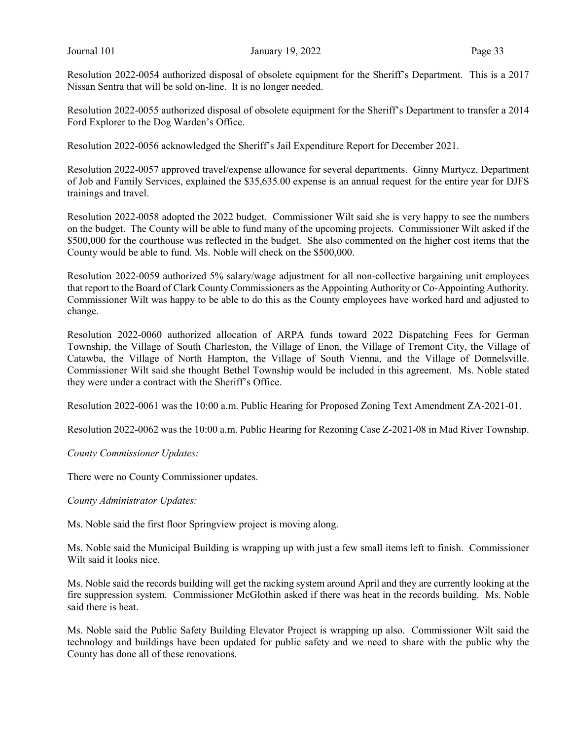Resolution 2022-0054 authorized disposal of obsolete equipment for the Sheriff's Department. This is a 2017 Nissan Sentra that will be sold on-line. It is no longer needed.

Resolution 2022-0055 authorized disposal of obsolete equipment for the Sheriff's Department to transfer a 2014 Ford Explorer to the Dog Warden's Office.

Resolution 2022-0056 acknowledged the Sheriff's Jail Expenditure Report for December 2021.

Resolution 2022-0057 approved travel/expense allowance for several departments. Ginny Martycz, Department of Job and Family Services, explained the \$35,635.00 expense is an annual request for the entire year for DJFS trainings and travel.

Resolution 2022-0058 adopted the 2022 budget. Commissioner Wilt said she is very happy to see the numbers on the budget. The County will be able to fund many of the upcoming projects. Commissioner Wilt asked if the \$500,000 for the courthouse was reflected in the budget. She also commented on the higher cost items that the County would be able to fund. Ms. Noble will check on the \$500,000.

Resolution 2022-0059 authorized 5% salary/wage adjustment for all non-collective bargaining unit employees that report to the Board of Clark County Commissioners as the Appointing Authority or Co-Appointing Authority. Commissioner Wilt was happy to be able to do this as the County employees have worked hard and adjusted to change.

Resolution 2022-0060 authorized allocation of ARPA funds toward 2022 Dispatching Fees for German Township, the Village of South Charleston, the Village of Enon, the Village of Tremont City, the Village of Catawba, the Village of North Hampton, the Village of South Vienna, and the Village of Donnelsville. Commissioner Wilt said she thought Bethel Township would be included in this agreement. Ms. Noble stated they were under a contract with the Sheriff's Office.

Resolution 2022-0061 was the 10:00 a.m. Public Hearing for Proposed Zoning Text Amendment ZA-2021-01.

Resolution 2022-0062 was the 10:00 a.m. Public Hearing for Rezoning Case Z-2021-08 in Mad River Township.

County Commissioner Updates:

There were no County Commissioner updates.

County Administrator Updates:

Ms. Noble said the first floor Springview project is moving along.

Ms. Noble said the Municipal Building is wrapping up with just a few small items left to finish. Commissioner Wilt said it looks nice.

Ms. Noble said the records building will get the racking system around April and they are currently looking at the fire suppression system. Commissioner McGlothin asked if there was heat in the records building. Ms. Noble said there is heat.

Ms. Noble said the Public Safety Building Elevator Project is wrapping up also. Commissioner Wilt said the technology and buildings have been updated for public safety and we need to share with the public why the County has done all of these renovations.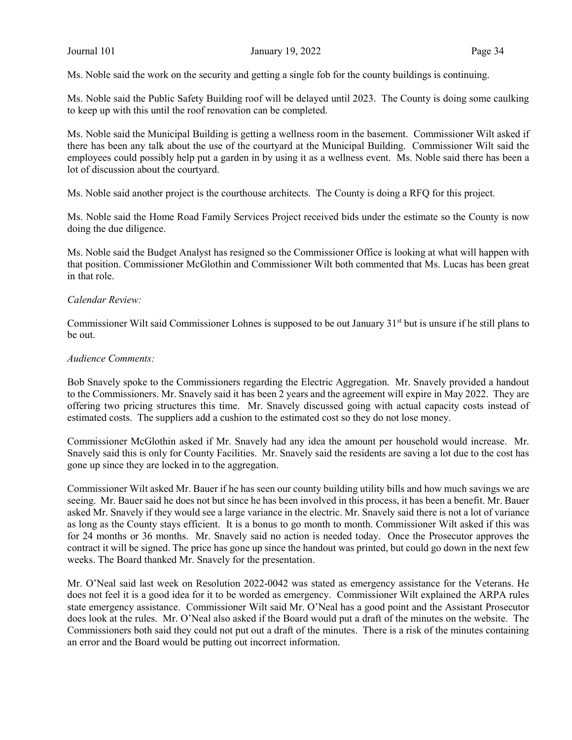Ms. Noble said the work on the security and getting a single fob for the county buildings is continuing.

Ms. Noble said the Public Safety Building roof will be delayed until 2023. The County is doing some caulking to keep up with this until the roof renovation can be completed.

Ms. Noble said the Municipal Building is getting a wellness room in the basement. Commissioner Wilt asked if there has been any talk about the use of the courtyard at the Municipal Building. Commissioner Wilt said the employees could possibly help put a garden in by using it as a wellness event. Ms. Noble said there has been a lot of discussion about the courtyard.

Ms. Noble said another project is the courthouse architects. The County is doing a RFQ for this project.

Ms. Noble said the Home Road Family Services Project received bids under the estimate so the County is now doing the due diligence.

Ms. Noble said the Budget Analyst has resigned so the Commissioner Office is looking at what will happen with that position. Commissioner McGlothin and Commissioner Wilt both commented that Ms. Lucas has been great in that role.

#### Calendar Review:

Commissioner Wilt said Commissioner Lohnes is supposed to be out January 31<sup>st</sup> but is unsure if he still plans to be out.

#### Audience Comments:

Bob Snavely spoke to the Commissioners regarding the Electric Aggregation. Mr. Snavely provided a handout to the Commissioners. Mr. Snavely said it has been 2 years and the agreement will expire in May 2022. They are offering two pricing structures this time. Mr. Snavely discussed going with actual capacity costs instead of estimated costs. The suppliers add a cushion to the estimated cost so they do not lose money.

Commissioner McGlothin asked if Mr. Snavely had any idea the amount per household would increase. Mr. Snavely said this is only for County Facilities. Mr. Snavely said the residents are saving a lot due to the cost has gone up since they are locked in to the aggregation.

Commissioner Wilt asked Mr. Bauer if he has seen our county building utility bills and how much savings we are seeing. Mr. Bauer said he does not but since he has been involved in this process, it has been a benefit. Mr. Bauer asked Mr. Snavely if they would see a large variance in the electric. Mr. Snavely said there is not a lot of variance as long as the County stays efficient. It is a bonus to go month to month. Commissioner Wilt asked if this was for 24 months or 36 months. Mr. Snavely said no action is needed today. Once the Prosecutor approves the contract it will be signed. The price has gone up since the handout was printed, but could go down in the next few weeks. The Board thanked Mr. Snavely for the presentation.

Mr. O'Neal said last week on Resolution 2022-0042 was stated as emergency assistance for the Veterans. He does not feel it is a good idea for it to be worded as emergency. Commissioner Wilt explained the ARPA rules state emergency assistance. Commissioner Wilt said Mr. O'Neal has a good point and the Assistant Prosecutor does look at the rules. Mr. O'Neal also asked if the Board would put a draft of the minutes on the website. The Commissioners both said they could not put out a draft of the minutes. There is a risk of the minutes containing an error and the Board would be putting out incorrect information.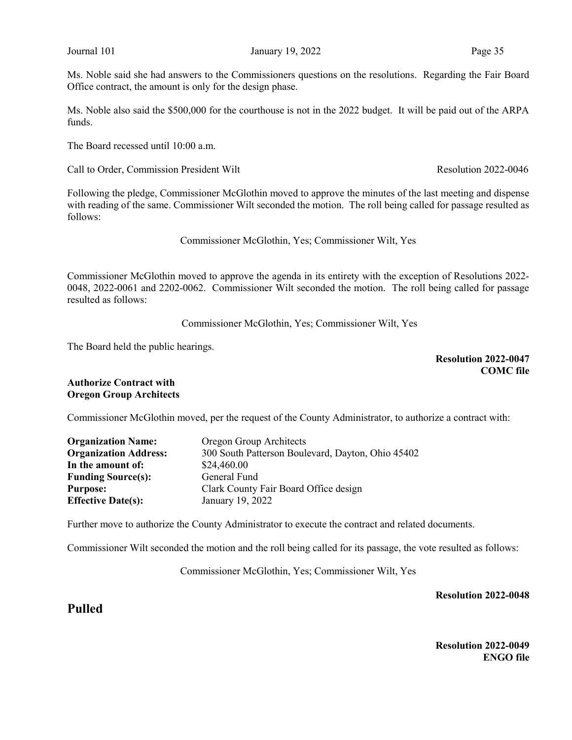Ms. Noble said she had answers to the Commissioners questions on the resolutions. Regarding the Fair Board Office contract, the amount is only for the design phase.

Ms. Noble also said the \$500,000 for the courthouse is not in the 2022 budget. It will be paid out of the ARPA funds.

The Board recessed until 10:00 a.m.

Call to Order, Commission President Wilt Resolution 2022-0046

Following the pledge, Commissioner McGlothin moved to approve the minutes of the last meeting and dispense with reading of the same. Commissioner Wilt seconded the motion. The roll being called for passage resulted as follows:

Commissioner McGlothin, Yes; Commissioner Wilt, Yes

Commissioner McGlothin moved to approve the agenda in its entirety with the exception of Resolutions 2022- 0048, 2022-0061 and 2202-0062. Commissioner Wilt seconded the motion. The roll being called for passage resulted as follows:

Commissioner McGlothin, Yes; Commissioner Wilt, Yes

The Board held the public hearings.

Resolution 2022-0047 COMC file

#### Authorize Contract with Oregon Group Architects

Commissioner McGlothin moved, per the request of the County Administrator, to authorize a contract with:

| <b>Organization Name:</b>    | Oregon Group Architects                           |
|------------------------------|---------------------------------------------------|
| <b>Organization Address:</b> | 300 South Patterson Boulevard, Dayton, Ohio 45402 |
| In the amount of:            | \$24,460.00                                       |
| <b>Funding Source(s):</b>    | General Fund                                      |
| <b>Purpose:</b>              | Clark County Fair Board Office design             |
| <b>Effective Date(s):</b>    | January 19, 2022                                  |

Further move to authorize the County Administrator to execute the contract and related documents.

Commissioner Wilt seconded the motion and the roll being called for its passage, the vote resulted as follows:

Commissioner McGlothin, Yes; Commissioner Wilt, Yes

Resolution 2022-0048

Pulled

Resolution 2022-0049 ENGO file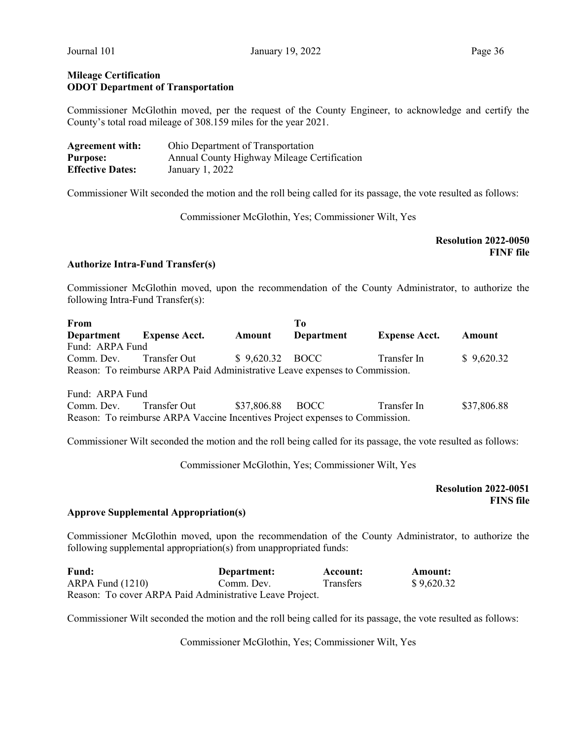### Mileage Certification ODOT Department of Transportation

Commissioner McGlothin moved, per the request of the County Engineer, to acknowledge and certify the County's total road mileage of 308.159 miles for the year 2021.

| <b>Agreement with:</b>  | Ohio Department of Transportation           |
|-------------------------|---------------------------------------------|
| <b>Purpose:</b>         | Annual County Highway Mileage Certification |
| <b>Effective Dates:</b> | January 1, 2022                             |

Commissioner Wilt seconded the motion and the roll being called for its passage, the vote resulted as follows:

Commissioner McGlothin, Yes; Commissioner Wilt, Yes

### Resolution 2022-0050 FINF file

#### Authorize Intra-Fund Transfer(s)

Commissioner McGlothin moved, upon the recommendation of the County Administrator, to authorize the following Intra-Fund Transfer(s):

| From                                                                         |                                                                             |                 | T <sub>0</sub> |                      |             |  |
|------------------------------------------------------------------------------|-----------------------------------------------------------------------------|-----------------|----------------|----------------------|-------------|--|
| Department                                                                   | <b>Expense Acct.</b>                                                        | Amount          | Department     | <b>Expense Acct.</b> | Amount      |  |
| Fund: ARPA Fund                                                              |                                                                             |                 |                |                      |             |  |
| Comm. Dev.                                                                   | Transfer Out                                                                | \$9,620.32 BOCC |                | Transfer In          | \$9,620.32  |  |
|                                                                              | Reason: To reimburse ARPA Paid Administrative Leave expenses to Commission. |                 |                |                      |             |  |
|                                                                              |                                                                             |                 |                |                      |             |  |
| Fund: ARPA Fund                                                              |                                                                             |                 |                |                      |             |  |
| Comm. Dev.                                                                   | Transfer Out                                                                | \$37,806.88     | <b>BOCC</b>    | Transfer In          | \$37,806.88 |  |
| Reason: To reimburse ARPA Vaccine Incentives Project expenses to Commission. |                                                                             |                 |                |                      |             |  |
|                                                                              |                                                                             |                 |                |                      |             |  |

Commissioner Wilt seconded the motion and the roll being called for its passage, the vote resulted as follows:

Commissioner McGlothin, Yes; Commissioner Wilt, Yes

Resolution 2022-0051 FINS file

#### Approve Supplemental Appropriation(s)

Commissioner McGlothin moved, upon the recommendation of the County Administrator, to authorize the following supplemental appropriation(s) from unappropriated funds:

| <b>Fund:</b>                                             | Department: | Account:         | Amount:    |
|----------------------------------------------------------|-------------|------------------|------------|
| $ARPA$ Fund $(1210)$                                     | Comm. Dev.  | <b>Transfers</b> | \$9,620.32 |
| Reason: To cover ARPA Paid Administrative Leave Project. |             |                  |            |

Commissioner Wilt seconded the motion and the roll being called for its passage, the vote resulted as follows:

Commissioner McGlothin, Yes; Commissioner Wilt, Yes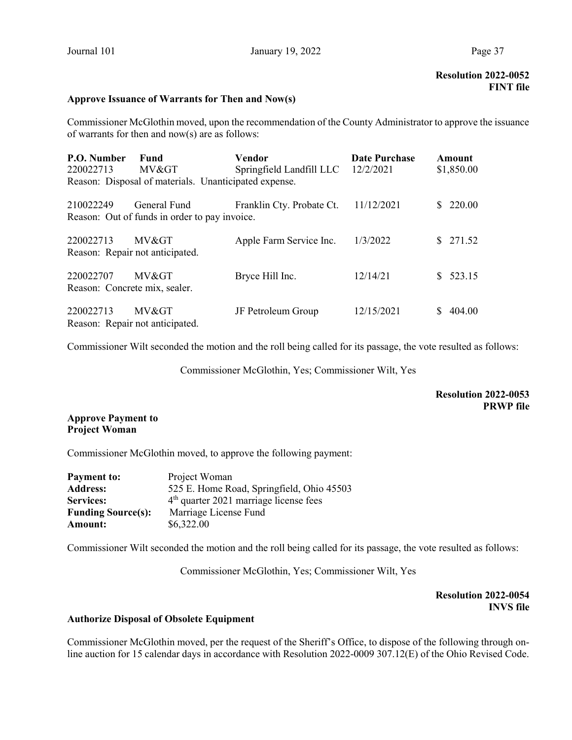# Approve Issuance of Warrants for Then and Now(s)

Commissioner McGlothin moved, upon the recommendation of the County Administrator to approve the issuance of warrants for then and now(s) are as follows:

| P.O. Number<br>220022713                   | Fund<br>MV>                                                   | Vendor<br>Springfield Landfill LLC 12/2/2021 | <b>Date Purchase</b> | Amount<br>\$1,850.00 |
|--------------------------------------------|---------------------------------------------------------------|----------------------------------------------|----------------------|----------------------|
|                                            | Reason: Disposal of materials. Unanticipated expense.         |                                              |                      |                      |
| 210022249                                  | General Fund<br>Reason: Out of funds in order to pay invoice. | Franklin Cty. Probate Ct.                    | 11/12/2021           | \$220.00             |
| 220022713                                  | MV><br>Reason: Repair not anticipated.                        | Apple Farm Service Inc.                      | 1/3/2022             | \$271.52             |
| 220022707<br>Reason: Concrete mix, sealer. | MV>                                                           | Bryce Hill Inc.                              | 12/14/21             | \$523.15             |
| 220022713                                  | MV><br>Reason: Repair not anticipated.                        | JF Petroleum Group                           | 12/15/2021           | 404.00               |

Commissioner Wilt seconded the motion and the roll being called for its passage, the vote resulted as follows:

Commissioner McGlothin, Yes; Commissioner Wilt, Yes

## Resolution 2022-0053 PRWP file

# Approve Payment to Project Woman

Commissioner McGlothin moved, to approve the following payment:

| <b>Payment to:</b>        | Project Woman                             |
|---------------------------|-------------------------------------------|
| <b>Address:</b>           | 525 E. Home Road, Springfield, Ohio 45503 |
| <b>Services:</b>          | $4th$ quarter 2021 marriage license fees  |
| <b>Funding Source(s):</b> | Marriage License Fund                     |
| Amount:                   | \$6,322.00                                |

Commissioner Wilt seconded the motion and the roll being called for its passage, the vote resulted as follows:

Commissioner McGlothin, Yes; Commissioner Wilt, Yes

Resolution 2022-0054 INVS file

#### Authorize Disposal of Obsolete Equipment

Commissioner McGlothin moved, per the request of the Sheriff's Office, to dispose of the following through online auction for 15 calendar days in accordance with Resolution 2022-0009 307.12(E) of the Ohio Revised Code.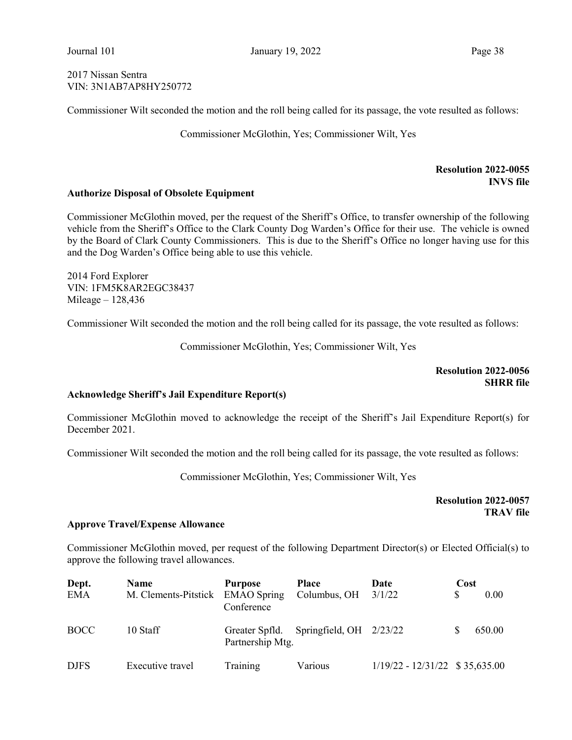2017 Nissan Sentra VIN: 3N1AB7AP8HY250772

Commissioner Wilt seconded the motion and the roll being called for its passage, the vote resulted as follows:

Commissioner McGlothin, Yes; Commissioner Wilt, Yes

## Resolution 2022-0055 INVS file

#### Authorize Disposal of Obsolete Equipment

Commissioner McGlothin moved, per the request of the Sheriff's Office, to transfer ownership of the following vehicle from the Sheriff's Office to the Clark County Dog Warden's Office for their use. The vehicle is owned by the Board of Clark County Commissioners. This is due to the Sheriff's Office no longer having use for this and the Dog Warden's Office being able to use this vehicle.

2014 Ford Explorer VIN: 1FM5K8AR2EGC38437 Mileage – 128,436

Commissioner Wilt seconded the motion and the roll being called for its passage, the vote resulted as follows:

Commissioner McGlothin, Yes; Commissioner Wilt, Yes

Resolution 2022-0056 **SHRR** file

#### Acknowledge Sheriff's Jail Expenditure Report(s)

Commissioner McGlothin moved to acknowledge the receipt of the Sheriff's Jail Expenditure Report(s) for December 2021.

Commissioner Wilt seconded the motion and the roll being called for its passage, the vote resulted as follows:

Commissioner McGlothin, Yes; Commissioner Wilt, Yes

Resolution 2022-0057 TRAV file

## Approve Travel/Expense Allowance

Commissioner McGlothin moved, per request of the following Department Director(s) or Elected Official(s) to approve the following travel allowances.

| Dept.<br><b>EMA</b> | <b>Name</b><br>M. Clements-Pitstick | <b>Purpose</b><br><b>EMAO</b> Spring             | <b>Place</b><br>Columbus, OH | Date<br>3/1/22                   | Cost<br>\$ | 0.00   |
|---------------------|-------------------------------------|--------------------------------------------------|------------------------------|----------------------------------|------------|--------|
| <b>BOCC</b>         | 10 Staff                            | Conference<br>Greater Spfld.<br>Partnership Mtg. | Springfield, $OH$ 2/23/22    |                                  |            | 650.00 |
| <b>DJFS</b>         | Executive travel                    | Training                                         | Various                      | $1/19/22 - 12/31/22$ \$35,635.00 |            |        |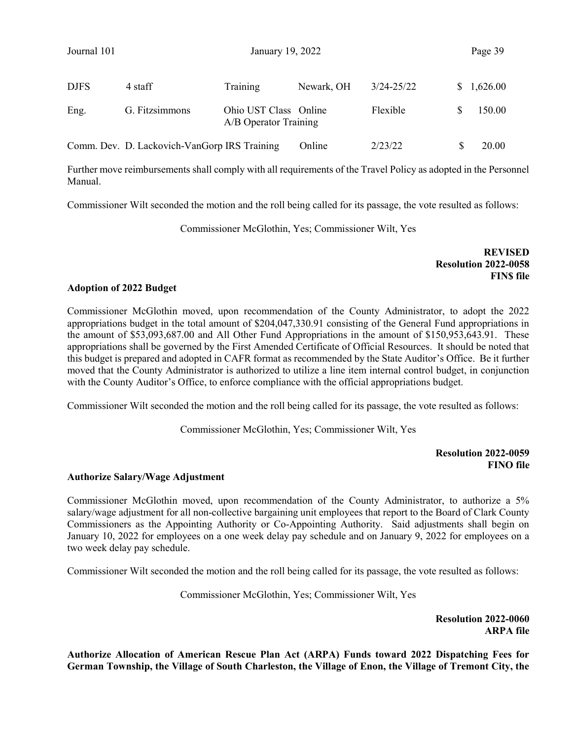Journal 101 January 19, 2022 Page 39

| <b>DJFS</b> | 4 staff                                      | Training                                       | Newark, OH | 3/24-25/22 | \$1,626.00 |
|-------------|----------------------------------------------|------------------------------------------------|------------|------------|------------|
| Eng.        | G. Fitzsimmons                               | Ohio UST Class Online<br>A/B Operator Training |            | Flexible   | 150.00     |
|             | Comm. Dev. D. Lackovich-VanGorp IRS Training |                                                | Online     | 2/23/22    | 20.00      |

Further move reimbursements shall comply with all requirements of the Travel Policy as adopted in the Personnel Manual.

Commissioner Wilt seconded the motion and the roll being called for its passage, the vote resulted as follows:

Commissioner McGlothin, Yes; Commissioner Wilt, Yes

REVISED Resolution 2022-0058 FINS file

### Adoption of 2022 Budget

Commissioner McGlothin moved, upon recommendation of the County Administrator, to adopt the 2022 appropriations budget in the total amount of \$204,047,330.91 consisting of the General Fund appropriations in the amount of \$53,093,687.00 and All Other Fund Appropriations in the amount of \$150,953,643.91. These appropriations shall be governed by the First Amended Certificate of Official Resources. It should be noted that this budget is prepared and adopted in CAFR format as recommended by the State Auditor's Office. Be it further moved that the County Administrator is authorized to utilize a line item internal control budget, in conjunction with the County Auditor's Office, to enforce compliance with the official appropriations budget.

Commissioner Wilt seconded the motion and the roll being called for its passage, the vote resulted as follows:

Commissioner McGlothin, Yes; Commissioner Wilt, Yes

### Resolution 2022-0059 FINO file

#### Authorize Salary/Wage Adjustment

Commissioner McGlothin moved, upon recommendation of the County Administrator, to authorize a 5% salary/wage adjustment for all non-collective bargaining unit employees that report to the Board of Clark County Commissioners as the Appointing Authority or Co-Appointing Authority. Said adjustments shall begin on January 10, 2022 for employees on a one week delay pay schedule and on January 9, 2022 for employees on a two week delay pay schedule.

Commissioner Wilt seconded the motion and the roll being called for its passage, the vote resulted as follows:

Commissioner McGlothin, Yes; Commissioner Wilt, Yes

Resolution 2022-0060 ARPA file

Authorize Allocation of American Rescue Plan Act (ARPA) Funds toward 2022 Dispatching Fees for German Township, the Village of South Charleston, the Village of Enon, the Village of Tremont City, the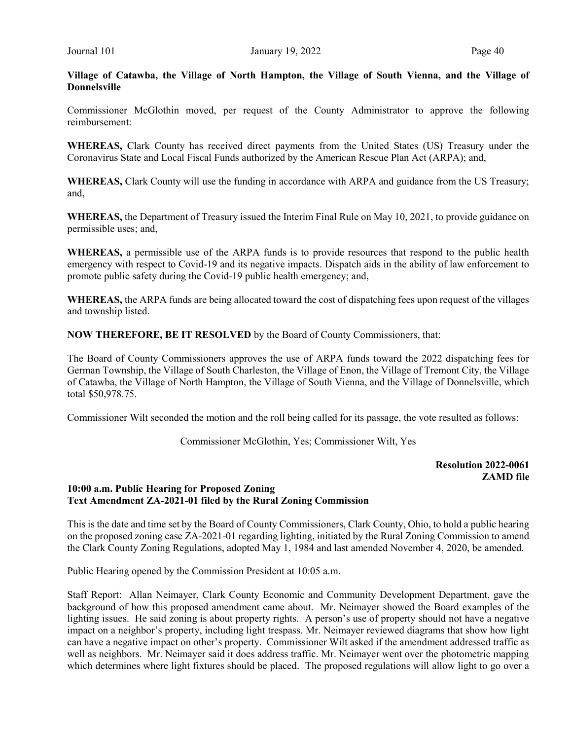Village of Catawba, the Village of North Hampton, the Village of South Vienna, and the Village of Donnelsville

Commissioner McGlothin moved, per request of the County Administrator to approve the following reimbursement:

WHEREAS, Clark County has received direct payments from the United States (US) Treasury under the Coronavirus State and Local Fiscal Funds authorized by the American Rescue Plan Act (ARPA); and,

WHEREAS, Clark County will use the funding in accordance with ARPA and guidance from the US Treasury; and,

WHEREAS, the Department of Treasury issued the Interim Final Rule on May 10, 2021, to provide guidance on permissible uses; and,

WHEREAS, a permissible use of the ARPA funds is to provide resources that respond to the public health emergency with respect to Covid-19 and its negative impacts. Dispatch aids in the ability of law enforcement to promote public safety during the Covid-19 public health emergency; and,

WHEREAS, the ARPA funds are being allocated toward the cost of dispatching fees upon request of the villages and township listed.

NOW THEREFORE, BE IT RESOLVED by the Board of County Commissioners, that:

The Board of County Commissioners approves the use of ARPA funds toward the 2022 dispatching fees for German Township, the Village of South Charleston, the Village of Enon, the Village of Tremont City, the Village of Catawba, the Village of North Hampton, the Village of South Vienna, and the Village of Donnelsville, which total \$50,978.75.

Commissioner Wilt seconded the motion and the roll being called for its passage, the vote resulted as follows:

Commissioner McGlothin, Yes; Commissioner Wilt, Yes

Resolution 2022-0061 ZAMD file

# 10:00 a.m. Public Hearing for Proposed Zoning Text Amendment ZA-2021-01 filed by the Rural Zoning Commission

This is the date and time set by the Board of County Commissioners, Clark County, Ohio, to hold a public hearing on the proposed zoning case ZA-2021-01 regarding lighting, initiated by the Rural Zoning Commission to amend the Clark County Zoning Regulations, adopted May 1, 1984 and last amended November 4, 2020, be amended.

Public Hearing opened by the Commission President at 10:05 a.m.

Staff Report: Allan Neimayer, Clark County Economic and Community Development Department, gave the background of how this proposed amendment came about. Mr. Neimayer showed the Board examples of the lighting issues. He said zoning is about property rights. A person's use of property should not have a negative impact on a neighbor's property, including light trespass. Mr. Neimayer reviewed diagrams that show how light can have a negative impact on other's property. Commissioner Wilt asked if the amendment addressed traffic as well as neighbors. Mr. Neimayer said it does address traffic. Mr. Neimayer went over the photometric mapping which determines where light fixtures should be placed. The proposed regulations will allow light to go over a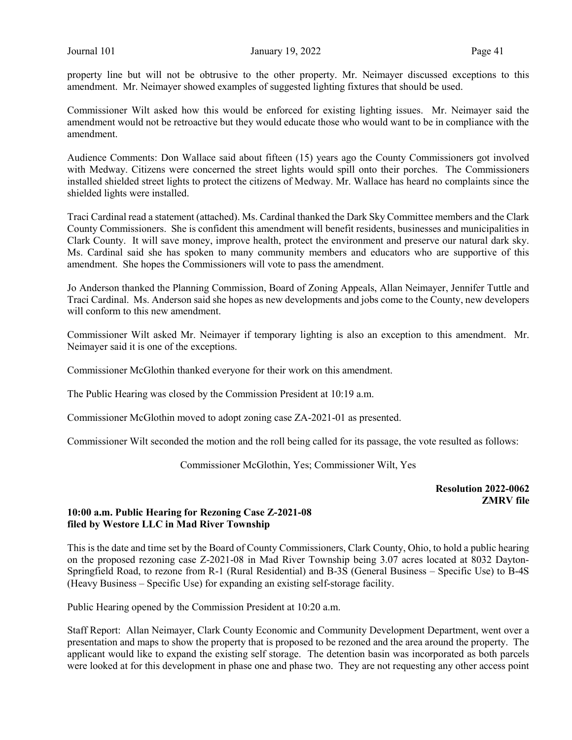property line but will not be obtrusive to the other property. Mr. Neimayer discussed exceptions to this amendment. Mr. Neimayer showed examples of suggested lighting fixtures that should be used.

Commissioner Wilt asked how this would be enforced for existing lighting issues. Mr. Neimayer said the amendment would not be retroactive but they would educate those who would want to be in compliance with the amendment.

Audience Comments: Don Wallace said about fifteen (15) years ago the County Commissioners got involved with Medway. Citizens were concerned the street lights would spill onto their porches. The Commissioners installed shielded street lights to protect the citizens of Medway. Mr. Wallace has heard no complaints since the shielded lights were installed.

Traci Cardinal read a statement (attached). Ms. Cardinal thanked the Dark Sky Committee members and the Clark County Commissioners. She is confident this amendment will benefit residents, businesses and municipalities in Clark County. It will save money, improve health, protect the environment and preserve our natural dark sky. Ms. Cardinal said she has spoken to many community members and educators who are supportive of this amendment. She hopes the Commissioners will vote to pass the amendment.

Jo Anderson thanked the Planning Commission, Board of Zoning Appeals, Allan Neimayer, Jennifer Tuttle and Traci Cardinal. Ms. Anderson said she hopes as new developments and jobs come to the County, new developers will conform to this new amendment.

Commissioner Wilt asked Mr. Neimayer if temporary lighting is also an exception to this amendment. Mr. Neimayer said it is one of the exceptions.

Commissioner McGlothin thanked everyone for their work on this amendment.

The Public Hearing was closed by the Commission President at 10:19 a.m.

Commissioner McGlothin moved to adopt zoning case ZA-2021-01 as presented.

Commissioner Wilt seconded the motion and the roll being called for its passage, the vote resulted as follows:

Commissioner McGlothin, Yes; Commissioner Wilt, Yes

Resolution 2022-0062 ZMRV file

### 10:00 a.m. Public Hearing for Rezoning Case Z-2021-08 filed by Westore LLC in Mad River Township

This is the date and time set by the Board of County Commissioners, Clark County, Ohio, to hold a public hearing on the proposed rezoning case Z-2021-08 in Mad River Township being 3.07 acres located at 8032 Dayton-Springfield Road, to rezone from R-1 (Rural Residential) and B-3S (General Business – Specific Use) to B-4S (Heavy Business – Specific Use) for expanding an existing self-storage facility.

Public Hearing opened by the Commission President at 10:20 a.m.

Staff Report: Allan Neimayer, Clark County Economic and Community Development Department, went over a presentation and maps to show the property that is proposed to be rezoned and the area around the property. The applicant would like to expand the existing self storage. The detention basin was incorporated as both parcels were looked at for this development in phase one and phase two. They are not requesting any other access point